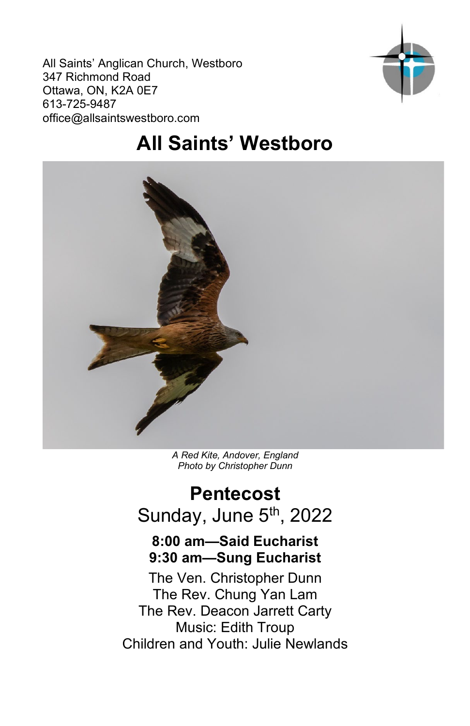All Saints' Anglican Church, Westboro 347 Richmond Road Ottawa, ON, K2A 0E7 613-725-9487 office@allsaintswestboro.com



# **All Saints' Westboro**



*A Red Kite, Andover, England Photo by Christopher Dunn*

## **Pentecost** Sunday, June 5<sup>th</sup>, 2022

## **8:00 am—Said Eucharist 9:30 am—Sung Eucharist**

The Ven. Christopher Dunn The Rev. Chung Yan Lam The Rev. Deacon Jarrett Carty Music: Edith Troup Children and Youth: Julie Newlands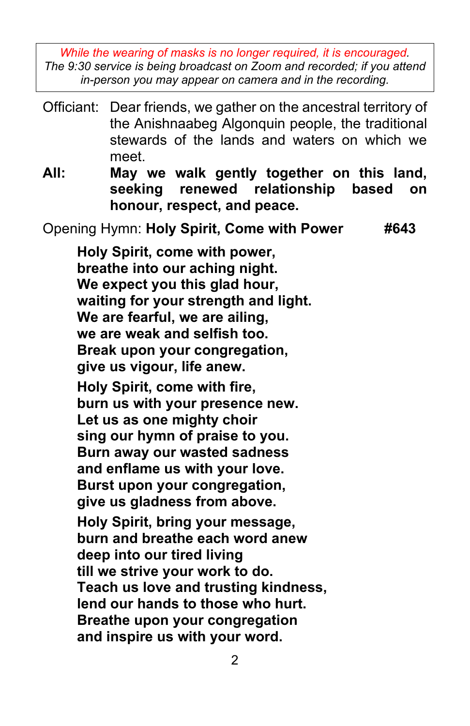*While the wearing of masks is no longer required, it is encouraged. The 9:30 service is being broadcast on Zoom and recorded; if you attend in-person you may appear on camera and in the recording.*

| Officiant: | Dear friends, we gather on the ancestral territory of<br>the Anishnaabeg Algonquin people, the traditional<br>stewards of the lands and waters on which we<br>meet.                                                                                                                                                                                                                                                                                                                                                                                                                                                                                                                      |  |
|------------|------------------------------------------------------------------------------------------------------------------------------------------------------------------------------------------------------------------------------------------------------------------------------------------------------------------------------------------------------------------------------------------------------------------------------------------------------------------------------------------------------------------------------------------------------------------------------------------------------------------------------------------------------------------------------------------|--|
| All:       | May we walk gently together on this land,<br>renewed<br>relationship<br>seeking<br>based<br>on<br>honour, respect, and peace.                                                                                                                                                                                                                                                                                                                                                                                                                                                                                                                                                            |  |
|            | Opening Hymn: Holy Spirit, Come with Power<br>#643                                                                                                                                                                                                                                                                                                                                                                                                                                                                                                                                                                                                                                       |  |
|            | Holy Spirit, come with power,<br>breathe into our aching night.<br>We expect you this glad hour,<br>waiting for your strength and light.<br>We are fearful, we are ailing,<br>we are weak and selfish too.<br>Break upon your congregation,<br>give us vigour, life anew.<br>Holy Spirit, come with fire,<br>burn us with your presence new.<br>Let us as one mighty choir<br>sing our hymn of praise to you.<br>Burn away our wasted sadness<br>and enflame us with your love.<br>Burst upon your congregation,<br>give us gladness from above.<br>Holy Spirit, bring your message,<br>burn and breathe each word anew<br>deep into our tired living<br>till we strive your work to do. |  |
|            | Teach us love and trusting kindness,<br>lend our hands to those who hurt.<br>Breathe upon your congregation<br>and inspire us with your word.                                                                                                                                                                                                                                                                                                                                                                                                                                                                                                                                            |  |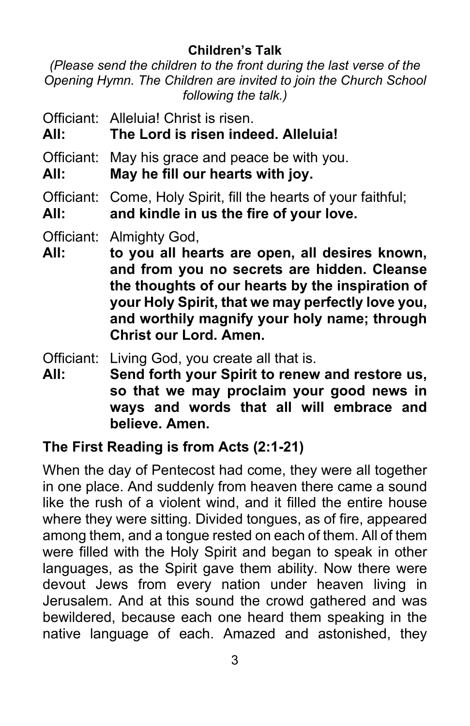#### **Children's Talk**

*(Please send the children to the front during the last verse of the Opening Hymn. The Children are invited to join the Church School following the talk.)*

- Officiant: Alleluia! Christ is risen.
- **All: The Lord is risen indeed. Alleluia!**
- Officiant: May his grace and peace be with you.
- **All: May he fill our hearts with joy.**
- Officiant: Come, Holy Spirit, fill the hearts of your faithful;
- **All: and kindle in us the fire of your love.**
- Officiant: Almighty God,
- **All: to you all hearts are open, all desires known, and from you no secrets are hidden. Cleanse the thoughts of our hearts by the inspiration of your Holy Spirit, that we may perfectly love you, and worthily magnify your holy name; through Christ our Lord. Amen.**
- Officiant: Living God, you create all that is.
- **All: Send forth your Spirit to renew and restore us, so that we may proclaim your good news in ways and words that all will embrace and believe. Amen.**

#### **The First Reading is from Acts (2:1-21)**

When the day of Pentecost had come, they were all together in one place. And suddenly from heaven there came a sound like the rush of a violent wind, and it filled the entire house where they were sitting. Divided tongues, as of fire, appeared among them, and a tongue rested on each of them. All of them were filled with the Holy Spirit and began to speak in other languages, as the Spirit gave them ability. Now there were devout Jews from every nation under heaven living in Jerusalem. And at this sound the crowd gathered and was bewildered, because each one heard them speaking in the native language of each. Amazed and astonished, they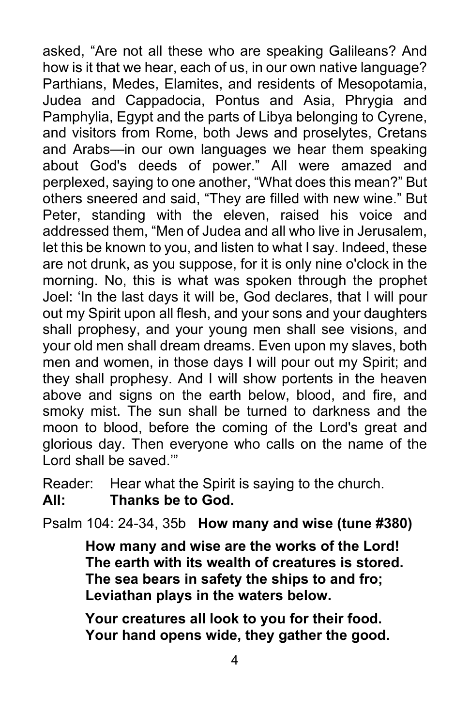asked, "Are not all these who are speaking Galileans? And how is it that we hear, each of us, in our own native language? Parthians, Medes, Elamites, and residents of Mesopotamia, Judea and Cappadocia, Pontus and Asia, Phrygia and Pamphylia, Egypt and the parts of Libya belonging to Cyrene, and visitors from Rome, both Jews and proselytes, Cretans and Arabs—in our own languages we hear them speaking about God's deeds of power." All were amazed and perplexed, saying to one another, "What does this mean?" But others sneered and said, "They are filled with new wine." But Peter, standing with the eleven, raised his voice and addressed them, "Men of Judea and all who live in Jerusalem, let this be known to you, and listen to what I say. Indeed, these are not drunk, as you suppose, for it is only nine o'clock in the morning. No, this is what was spoken through the prophet Joel: 'In the last days it will be, God declares, that I will pour out my Spirit upon all flesh, and your sons and your daughters shall prophesy, and your young men shall see visions, and your old men shall dream dreams. Even upon my slaves, both men and women, in those days I will pour out my Spirit; and they shall prophesy. And I will show portents in the heaven above and signs on the earth below, blood, and fire, and smoky mist. The sun shall be turned to darkness and the moon to blood, before the coming of the Lord's great and glorious day. Then everyone who calls on the name of the Lord shall be saved.'"

Reader: Hear what the Spirit is saying to the church. **All: Thanks be to God.**

Psalm 104: 24-34, 35b **How many and wise (tune #380)**

**How many and wise are the works of the Lord! The earth with its wealth of creatures is stored. The sea bears in safety the ships to and fro; Leviathan plays in the waters below.**

**Your creatures all look to you for their food. Your hand opens wide, they gather the good.**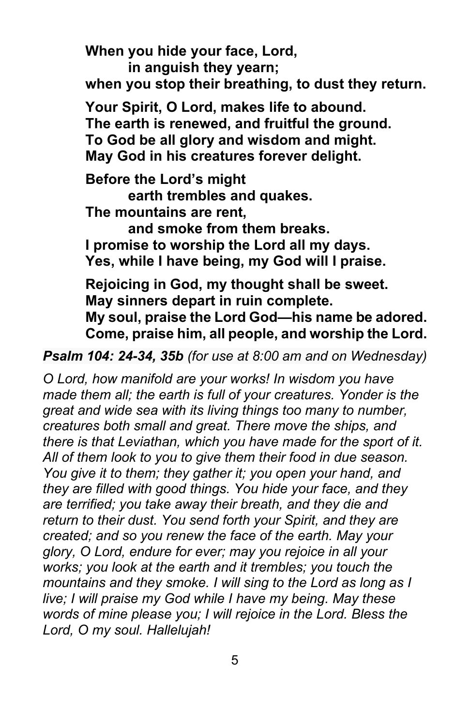**When you hide your face, Lord, in anguish they yearn; when you stop their breathing, to dust they return. Your Spirit, O Lord, makes life to abound. The earth is renewed, and fruitful the ground. To God be all glory and wisdom and might. May God in his creatures forever delight. Before the Lord's might earth trembles and quakes. The mountains are rent, and smoke from them breaks. I promise to worship the Lord all my days. Yes, while I have being, my God will I praise. Rejoicing in God, my thought shall be sweet. May sinners depart in ruin complete.** 

**My soul, praise the Lord God—his name be adored. Come, praise him, all people, and worship the Lord.**

*Psalm 104: 24-34, 35b (for use at 8:00 am and on Wednesday)*

*O Lord, how manifold are your works! In wisdom you have made them all; the earth is full of your creatures. Yonder is the great and wide sea with its living things too many to number, creatures both small and great. There move the ships, and there is that Leviathan, which you have made for the sport of it. All of them look to you to give them their food in due season.*  You give it to them; they gather it; you open your hand, and *they are filled with good things. You hide your face, and they are terrified; you take away their breath, and they die and return to their dust. You send forth your Spirit, and they are created; and so you renew the face of the earth. May your glory, O Lord, endure for ever; may you rejoice in all your works; you look at the earth and it trembles; you touch the mountains and they smoke. I will sing to the Lord as long as I live; I will praise my God while I have my being. May these words of mine please you; I will rejoice in the Lord. Bless the Lord, O my soul. Hallelujah!*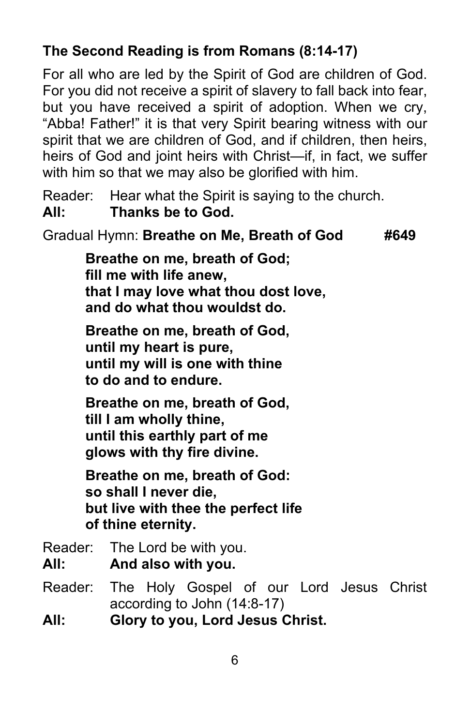## **The Second Reading is from Romans (8:14-17)**

For all who are led by the Spirit of God are children of God. For you did not receive a spirit of slavery to fall back into fear, but you have received a spirit of adoption. When we cry, "Abba! Father!" it is that very Spirit bearing witness with our spirit that we are children of God, and if children, then heirs, heirs of God and joint heirs with Christ—if, in fact, we suffer with him so that we may also be glorified with him.

Reader: Hear what the Spirit is saying to the church. **All: Thanks be to God.**

Gradual Hymn: **Breathe on Me, Breath of God #649**

**Breathe on me, breath of God; fill me with life anew, that I may love what thou dost love, and do what thou wouldst do.**

**Breathe on me, breath of God, until my heart is pure, until my will is one with thine to do and to endure.**

**Breathe on me, breath of God, till I am wholly thine, until this earthly part of me glows with thy fire divine.**

**Breathe on me, breath of God: so shall I never die, but live with thee the perfect life of thine eternity.**

- Reader: The Lord be with you.
- **All: And also with you.**
- Reader: The Holy Gospel of our Lord Jesus Christ according to John (14:8-17)
- **All: Glory to you, Lord Jesus Christ.**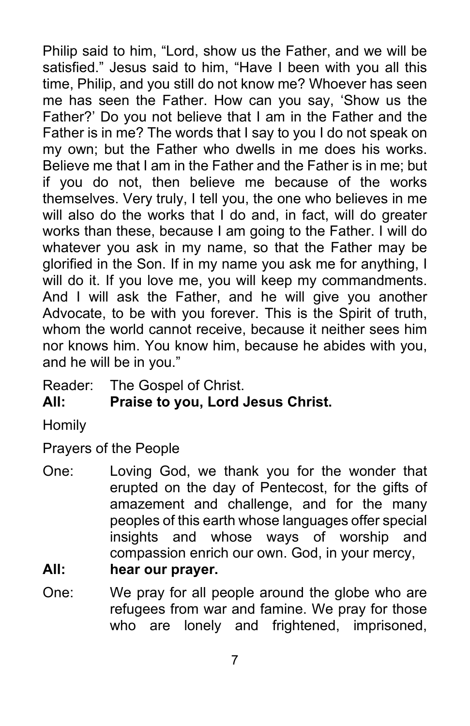Philip said to him, "Lord, show us the Father, and we will be satisfied." Jesus said to him, "Have I been with you all this time, Philip, and you still do not know me? Whoever has seen me has seen the Father. How can you say, 'Show us the Father?' Do you not believe that I am in the Father and the Father is in me? The words that I say to you I do not speak on my own; but the Father who dwells in me does his works. Believe me that I am in the Father and the Father is in me; but if you do not, then believe me because of the works themselves. Very truly, I tell you, the one who believes in me will also do the works that I do and, in fact, will do greater works than these, because I am going to the Father. I will do whatever you ask in my name, so that the Father may be glorified in the Son. If in my name you ask me for anything, I will do it. If you love me, you will keep my commandments. And I will ask the Father, and he will give you another Advocate, to be with you forever. This is the Spirit of truth, whom the world cannot receive, because it neither sees him nor knows him. You know him, because he abides with you, and he will be in you."

Reader: The Gospel of Christ.

**All: Praise to you, Lord Jesus Christ.**

**Homily** 

Prayers of the People

One: Loving God, we thank you for the wonder that erupted on the day of Pentecost, for the gifts of amazement and challenge, and for the many peoples of this earth whose languages offer special insights and whose ways of worship and compassion enrich our own. God, in your mercy,

## **All: hear our prayer.**

One: We pray for all people around the globe who are refugees from war and famine. We pray for those who are lonely and frightened, imprisoned,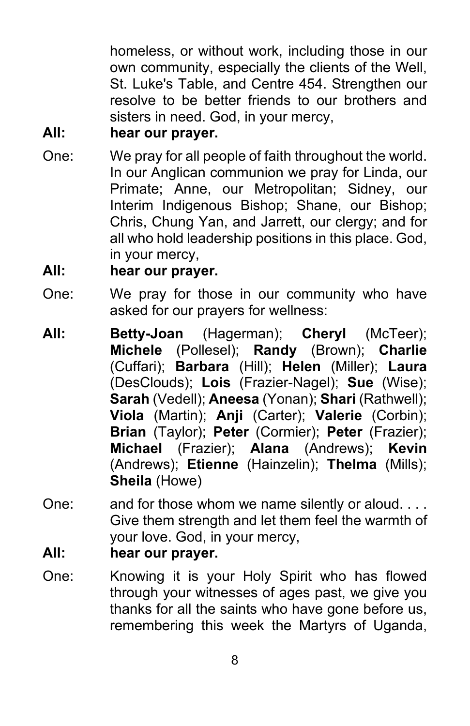homeless, or without work, including those in our own community, especially the clients of the Well, St. Luke's Table, and Centre 454. Strengthen our resolve to be better friends to our brothers and sisters in need. God, in your mercy,

#### **All: hear our prayer.**

One: We pray for all people of faith throughout the world. In our Anglican communion we pray for Linda, our Primate; Anne, our Metropolitan; Sidney, our Interim Indigenous Bishop; Shane, our Bishop; Chris, Chung Yan, and Jarrett, our clergy; and for all who hold leadership positions in this place. God, in your mercy,

#### **All: hear our prayer.**

- One: We pray for those in our community who have asked for our prayers for wellness:
- **All: Betty-Joan** (Hagerman); **Cheryl** (McTeer); **Michele** (Pollesel); **Randy** (Brown); **Charlie**  (Cuffari); **Barbara** (Hill); **Helen** (Miller); **Laura** (DesClouds); **Lois** (Frazier-Nagel); **Sue** (Wise); **Sarah** (Vedell); **Aneesa** (Yonan); **Shari** (Rathwell); **Viola** (Martin); **Anji** (Carter); **Valerie** (Corbin); **Brian** (Taylor); **Peter** (Cormier); **Peter** (Frazier); **Michael** (Frazier); **Alana** (Andrews); **Kevin** (Andrews); **Etienne** (Hainzelin); **Thelma** (Mills); **Sheila** (Howe)
- One: and for those whom we name silently or aloud. . . . Give them strength and let them feel the warmth of your love. God, in your mercy,
- **All: hear our prayer.**
- One: Knowing it is your Holy Spirit who has flowed through your witnesses of ages past, we give you thanks for all the saints who have gone before us, remembering this week the Martyrs of Uganda,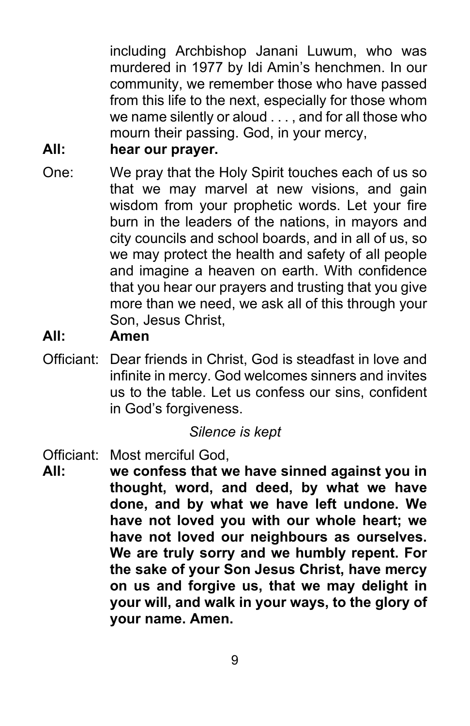including Archbishop Janani Luwum, who was murdered in 1977 by Idi Amin's henchmen. In our community, we remember those who have passed from this life to the next, especially for those whom we name silently or aloud . . . , and for all those who mourn their passing. God, in your mercy,

#### **All: hear our prayer.**

One: We pray that the Holy Spirit touches each of us so that we may marvel at new visions, and gain wisdom from your prophetic words. Let your fire burn in the leaders of the nations, in mayors and city councils and school boards, and in all of us, so we may protect the health and safety of all people and imagine a heaven on earth. With confidence that you hear our prayers and trusting that you give more than we need, we ask all of this through your Son, Jesus Christ,

#### **All: Amen**

Officiant: Dear friends in Christ, God is steadfast in love and infinite in mercy. God welcomes sinners and invites us to the table. Let us confess our sins, confident in God's forgiveness.

#### *Silence is kept*

- Officiant: Most merciful God,
- **All: we confess that we have sinned against you in thought, word, and deed, by what we have done, and by what we have left undone. We have not loved you with our whole heart; we have not loved our neighbours as ourselves. We are truly sorry and we humbly repent. For the sake of your Son Jesus Christ, have mercy on us and forgive us, that we may delight in your will, and walk in your ways, to the glory of your name. Amen.**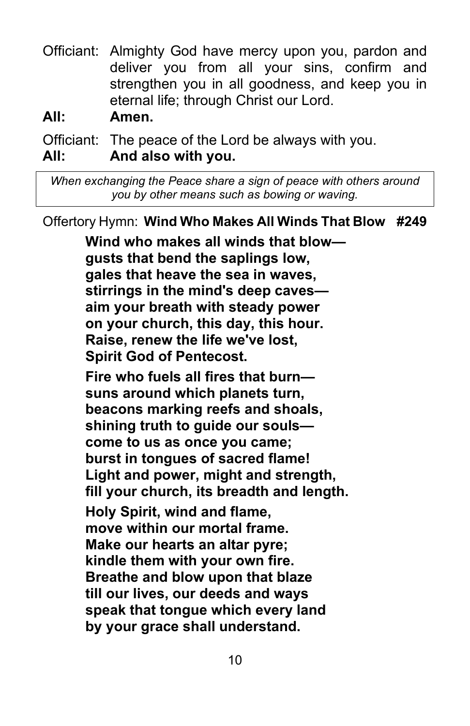Officiant: Almighty God have mercy upon you, pardon and deliver you from all your sins, confirm and strengthen you in all goodness, and keep you in eternal life; through Christ our Lord.

**All: Amen.**

Officiant: The peace of the Lord be always with you. **All: And also with you.**

*When exchanging the Peace share a sign of peace with others around you by other means such as bowing or waving.*

Offertory Hymn: **Wind Who Makes All Winds That Blow #249**

**Wind who makes all winds that blow gusts that bend the saplings low, gales that heave the sea in waves, stirrings in the mind's deep caves aim your breath with steady power on your church, this day, this hour. Raise, renew the life we've lost, Spirit God of Pentecost. Fire who fuels all fires that burn suns around which planets turn, beacons marking reefs and shoals, shining truth to guide our souls come to us as once you came; burst in tongues of sacred flame! Light and power, might and strength, fill your church, its breadth and length. Holy Spirit, wind and flame, move within our mortal frame. Make our hearts an altar pyre; kindle them with your own fire. Breathe and blow upon that blaze till our lives, our deeds and ways speak that tongue which every land**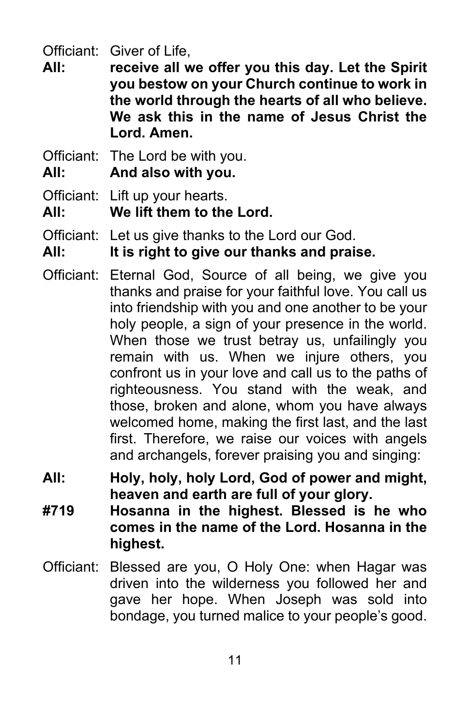Officiant: Giver of Life,

- **All: receive all we offer you this day. Let the Spirit you bestow on your Church continue to work in the world through the hearts of all who believe. We ask this in the name of Jesus Christ the Lord. Amen.**
- Officiant: The Lord be with you.
- **All: And also with you.**
- Officiant: Lift up your hearts.
- **All: We lift them to the Lord.**
- Officiant: Let us give thanks to the Lord our God.
- **All: It is right to give our thanks and praise.**
- Officiant: Eternal God, Source of all being, we give you thanks and praise for your faithful love. You call us into friendship with you and one another to be your holy people, a sign of your presence in the world. When those we trust betray us, unfailingly you remain with us. When we injure others, you confront us in your love and call us to the paths of righteousness. You stand with the weak, and those, broken and alone, whom you have always welcomed home, making the first last, and the last first. Therefore, we raise our voices with angels and archangels, forever praising you and singing:
- **All: Holy, holy, holy Lord, God of power and might, heaven and earth are full of your glory.**
- **#719 Hosanna in the highest. Blessed is he who comes in the name of the Lord. Hosanna in the highest.**
- Officiant: Blessed are you, O Holy One: when Hagar was driven into the wilderness you followed her and gave her hope. When Joseph was sold into bondage, you turned malice to your people's good.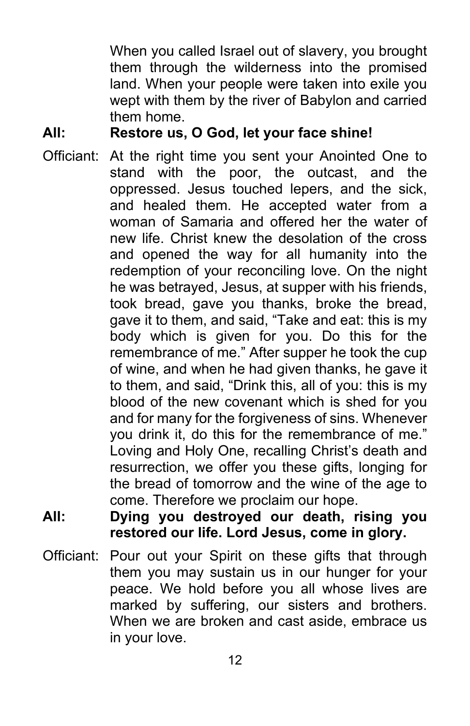When you called Israel out of slavery, you brought them through the wilderness into the promised land. When your people were taken into exile you wept with them by the river of Babylon and carried them home.

#### **All: Restore us, O God, let your face shine!**

- Officiant: At the right time you sent your Anointed One to stand with the poor, the outcast, and the oppressed. Jesus touched lepers, and the sick, and healed them. He accepted water from a woman of Samaria and offered her the water of new life. Christ knew the desolation of the cross and opened the way for all humanity into the redemption of your reconciling love. On the night he was betrayed, Jesus, at supper with his friends, took bread, gave you thanks, broke the bread, gave it to them, and said, "Take and eat: this is my body which is given for you. Do this for the remembrance of me." After supper he took the cup of wine, and when he had given thanks, he gave it to them, and said, "Drink this, all of you: this is my blood of the new covenant which is shed for you and for many for the forgiveness of sins. Whenever you drink it, do this for the remembrance of me." Loving and Holy One, recalling Christ's death and resurrection, we offer you these gifts, longing for the bread of tomorrow and the wine of the age to come. Therefore we proclaim our hope.
- **All: Dying you destroyed our death, rising you restored our life. Lord Jesus, come in glory.**
- Officiant: Pour out your Spirit on these gifts that through them you may sustain us in our hunger for your peace. We hold before you all whose lives are marked by suffering, our sisters and brothers. When we are broken and cast aside, embrace us in your love.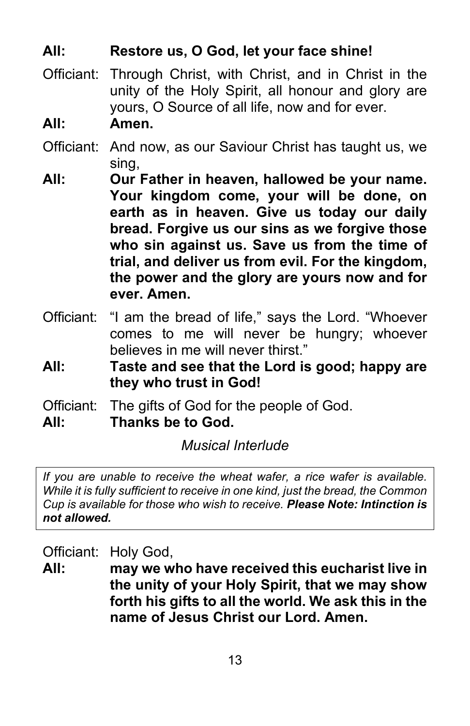#### **All: Restore us, O God, let your face shine!**

- Officiant: Through Christ, with Christ, and in Christ in the unity of the Holy Spirit, all honour and glory are yours, O Source of all life, now and for ever.
- **All: Amen.**
- Officiant: And now, as our Saviour Christ has taught us, we sing,
- **All: Our Father in heaven, hallowed be your name. Your kingdom come, your will be done, on earth as in heaven. Give us today our daily bread. Forgive us our sins as we forgive those who sin against us. Save us from the time of trial, and deliver us from evil. For the kingdom, the power and the glory are yours now and for ever. Amen.**
- Officiant: "I am the bread of life," says the Lord. "Whoever comes to me will never be hungry; whoever believes in me will never thirst"
- **All: Taste and see that the Lord is good; happy are they who trust in God!**
- Officiant: The gifts of God for the people of God.
- **All: Thanks be to God.**

*Musical Interlude*

*If you are unable to receive the wheat wafer, a rice wafer is available. While it is fully sufficient to receive in one kind, just the bread, the Common Cup is available for those who wish to receive. Please Note: Intinction is not allowed.*

Officiant: Holy God,

**All: may we who have received this eucharist live in the unity of your Holy Spirit, that we may show forth his gifts to all the world. We ask this in the name of Jesus Christ our Lord. Amen.**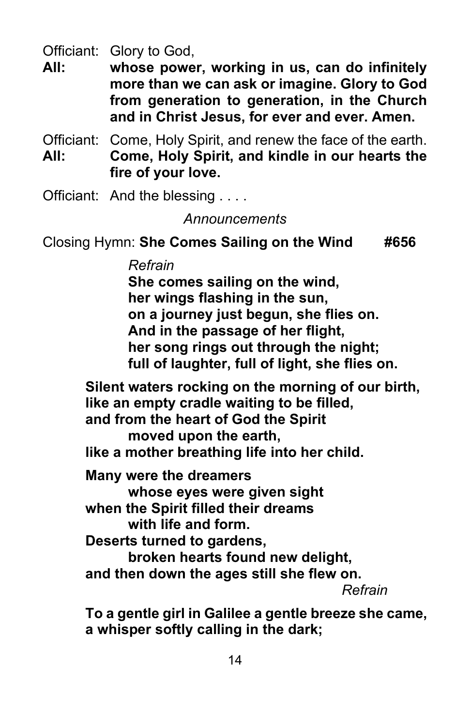Officiant: Glory to God,

**All: whose power, working in us, can do infinitely more than we can ask or imagine. Glory to God from generation to generation, in the Church and in Christ Jesus, for ever and ever. Amen.**

Officiant: Come, Holy Spirit, and renew the face of the earth. **All: Come, Holy Spirit, and kindle in our hearts the fire of your love.**

Officiant: And the blessing . . . .

#### *Announcements*

Closing Hymn: **She Comes Sailing on the Wind #656**

*Refrain*

**She comes sailing on the wind, her wings flashing in the sun, on a journey just begun, she flies on. And in the passage of her flight, her song rings out through the night; full of laughter, full of light, she flies on.**

**Silent waters rocking on the morning of our birth, like an empty cradle waiting to be filled, and from the heart of God the Spirit moved upon the earth, like a mother breathing life into her child. Many were the dreamers whose eyes were given sight when the Spirit filled their dreams with life and form. Deserts turned to gardens, broken hearts found new delight, and then down the ages still she flew on.** *Refrain* **To a gentle girl in Galilee a gentle breeze she came, a whisper softly calling in the dark;**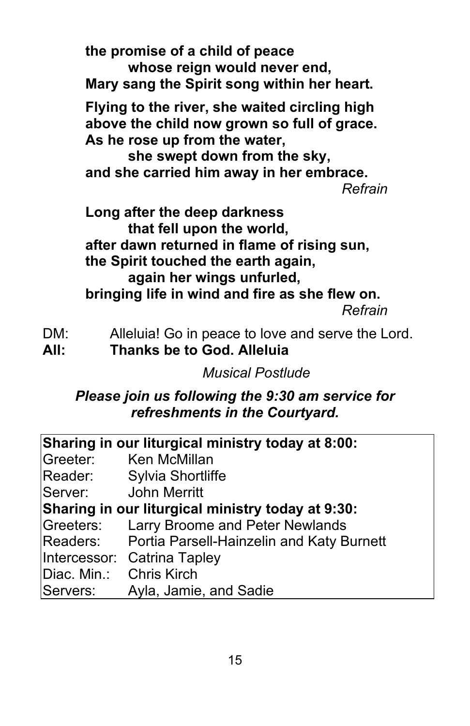**the promise of a child of peace whose reign would never end, Mary sang the Spirit song within her heart. Flying to the river, she waited circling high above the child now grown so full of grace. As he rose up from the water, she swept down from the sky, and she carried him away in her embrace.** *Refrain* **Long after the deep darkness that fell upon the world, after dawn returned in flame of rising sun, the Spirit touched the earth again, again her wings unfurled, bringing life in wind and fire as she flew on.** *Refrain*

- DM: Alleluia! Go in peace to love and serve the Lord.
- **All: Thanks be to God. Alleluia**

*Musical Postlude*

#### *Please join us following the 9:30 am service for refreshments in the Courtyard.*

| Sharing in our liturgical ministry today at 8:00: |                                                    |  |  |  |  |
|---------------------------------------------------|----------------------------------------------------|--|--|--|--|
| Greeter:                                          | <b>Ken McMillan</b>                                |  |  |  |  |
| Reader:                                           | <b>Sylvia Shortliffe</b>                           |  |  |  |  |
| <b>John Merritt</b><br>Server:                    |                                                    |  |  |  |  |
| Sharing in our liturgical ministry today at 9:30: |                                                    |  |  |  |  |
| Greeters:                                         | <b>Larry Broome and Peter Newlands</b>             |  |  |  |  |
|                                                   | Readers: Portia Parsell-Hainzelin and Katy Burnett |  |  |  |  |
|                                                   | Intercessor: Catrina Tapley                        |  |  |  |  |
| Diac. Min.:                                       | <b>Chris Kirch</b>                                 |  |  |  |  |
| Servers:                                          | Ayla, Jamie, and Sadie                             |  |  |  |  |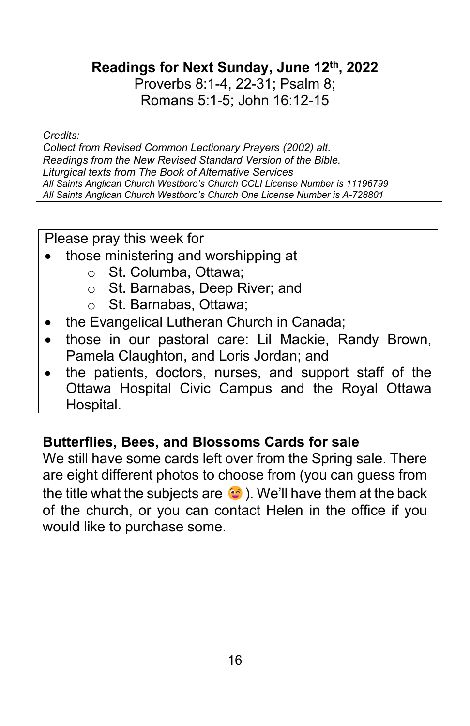**Readings for Next Sunday, June 12th, 2022**

Proverbs 8:1-4, 22-31; Psalm 8; Romans 5:1-5; John 16:12-15

#### *Credits:*

*Collect from Revised Common Lectionary Prayers (2002) alt. Readings from the New Revised Standard Version of the Bible. Liturgical texts from The Book of Alternative Services All Saints Anglican Church Westboro's Church CCLI License Number is 11196799 All Saints Anglican Church Westboro's Church One License Number is A-728801*

Please pray this week for

- those ministering and worshipping at
	- o St. Columba, Ottawa;
	- o St. Barnabas, Deep River; and
	- o St. Barnabas, Ottawa;
- the Evangelical Lutheran Church in Canada;
- those in our pastoral care: Lil Mackie, Randy Brown, Pamela Claughton, and Loris Jordan; and
- the patients, doctors, nurses, and support staff of the Ottawa Hospital Civic Campus and the Royal Ottawa Hospital.

#### **Butterflies, Bees, and Blossoms Cards for sale**

We still have some cards left over from the Spring sale. There are eight different photos to choose from (you can guess from the title what the subjects are  $\bullet$  ). We'll have them at the back of the church, or you can contact Helen in the office if you would like to purchase some.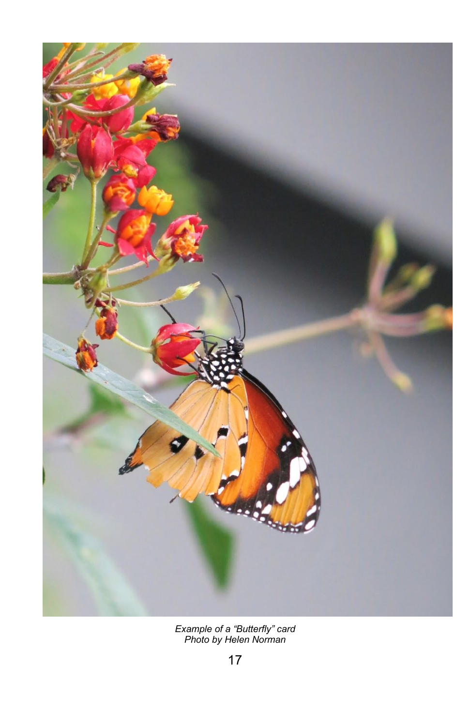

*Example of a "Butterfly" card Photo by Helen Norman*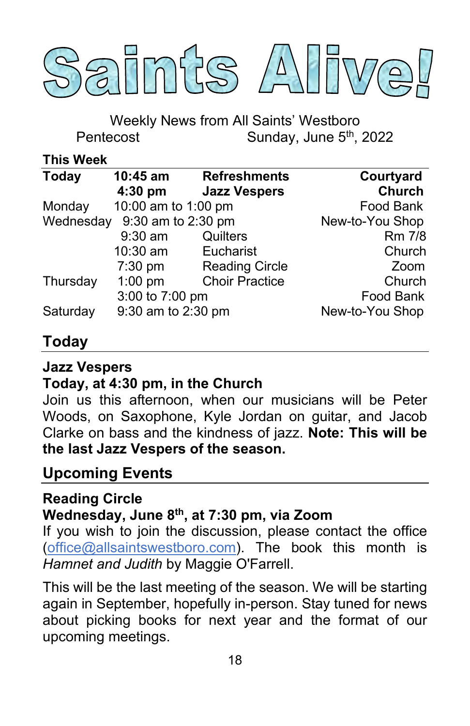

Weekly News from All Saints' Westboro Pentecost Sunday, June 5<sup>th</sup>, 2022

**This Week**

| <b>Today</b> | $10:45$ am<br>$4:30$ pm      | <b>Refreshments</b><br><b>Jazz Vespers</b> | Courtyard<br><b>Church</b> |
|--------------|------------------------------|--------------------------------------------|----------------------------|
| Monday       | 10:00 am to 1:00 pm          |                                            | Food Bank                  |
|              | Wednesday 9:30 am to 2:30 pm | New-to-You Shop                            |                            |
|              | $9:30$ am                    | Quilters                                   | Rm 7/8                     |
|              | 10:30 am                     | Eucharist                                  | Church                     |
|              | $7:30$ pm                    | <b>Reading Circle</b>                      | Zoom                       |
| Thursday     | $1:00$ pm                    | <b>Choir Practice</b>                      | Church                     |
|              | 3:00 to 7:00 pm              |                                            | Food Bank                  |
| Saturday     | 9:30 am to 2:30 pm           |                                            | New-to-You Shop            |

## **Today**

#### **Jazz Vespers**

#### **Today, at 4:30 pm, in the Church**

Join us this afternoon, when our musicians will be Peter Woods, on Saxophone, Kyle Jordan on guitar, and Jacob Clarke on bass and the kindness of jazz. **Note: This will be the last Jazz Vespers of the season.**

## **Upcoming Events**

## **Reading Circle**

## **Wednesday, June 8th, at 7:30 pm, via Zoom**

If you wish to join the discussion, please contact the office [\(office@allsaintswestboro.com\)](mailto:office@allsaintswestboro.com). The book this month is *Hamnet and Judith* by Maggie O'Farrell.

This will be the last meeting of the season. We will be starting again in September, hopefully in-person. Stay tuned for news about picking books for next year and the format of our upcoming meetings.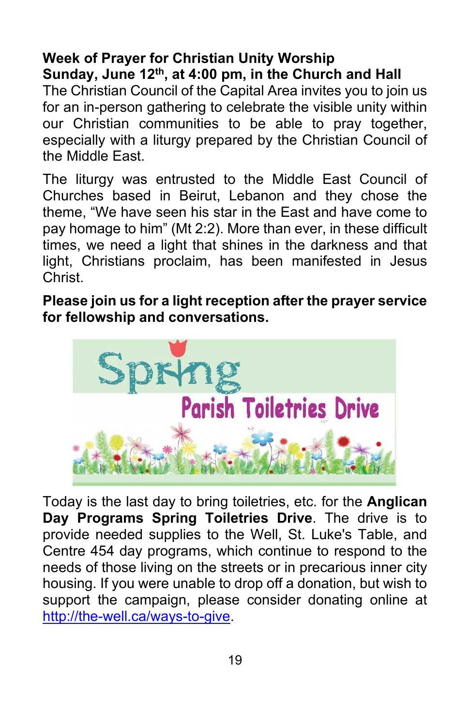#### **Week of Prayer for Christian Unity Worship Sunday, June 12th, at 4:00 pm, in the Church and Hall**

The Christian Council of the Capital Area invites you to join us for an in-person gathering to celebrate the visible unity within our Christian communities to be able to pray together, especially with a liturgy prepared by the Christian Council of the Middle East.

The liturgy was entrusted to the Middle East Council of Churches based in Beirut, Lebanon and they chose the theme, "We have seen his star in the East and have come to pay homage to him" (Mt 2:2). More than ever, in these difficult times, we need a light that shines in the darkness and that light, Christians proclaim, has been manifested in Jesus Christ.

**Please join us for a light reception after the prayer service for fellowship and conversations.**



Today is the last day to bring toiletries, etc. for the **Anglican Day Programs Spring Toiletries Drive**. The drive is to provide needed supplies to the Well, St. Luke's Table, and Centre 454 day programs, which continue to respond to the needs of those living on the streets or in precarious inner city housing. If you were unable to drop off a donation, but wish to support the campaign, please consider donating online at [http://the-well.ca/ways-to-give.](http://the-well.ca/ways-to-give)